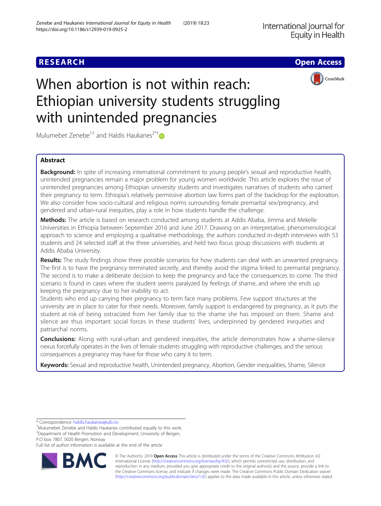## **RESEARCH CHE Open Access**





# When abortion is not within reach: Ethiopian university students struggling with unintended pregnancies

Mulumebet Zenebe<sup>1[†](http://orcid.org/0000-0002-9961-1535)</sup> and Haldis Haukanes<sup>2\*†</sup>

## Abstract

Background: In spite of increasing international commitment to young people's sexual and reproductive health, unintended pregnancies remain a major problem for young women worldwide. This article explores the issue of unintended pregnancies among Ethiopian university students and investigates narratives of students who carried their pregnancy to term. Ethiopia's relatively permissive abortion law forms part of the backdrop for the exploration. We also consider how socio-cultural and religious norms surrounding female premarital sex/pregnancy, and gendered and urban-rural inequities, play a role in how students handle the challenge.

Methods: The article is based on research conducted among students at Addis Ababa, Jimma and Mekelle Universities in Ethiopia between September 2016 and June 2017. Drawing on an interpretative, phenomenological approach to science and employing a qualitative methodology, the authors conducted in-depth interviews with 53 students and 24 selected staff at the three universities, and held two focus group discussions with students at Addis Ababa University.

Results: The study findings show three possible scenarios for how students can deal with an unwanted pregnancy. The first is to have the pregnancy terminated secretly, and thereby avoid the stigma linked to premarital pregnancy. The second is to make a deliberate decision to keep the pregnancy and face the consequences to come. The third scenario is found in cases where the student seems paralyzed by feelings of shame, and where she ends up keeping the pregnancy due to her inability to act.

Students who end up carrying their pregnancy to term face many problems. Few support structures at the university are in place to cater for their needs. Moreover, family support is endangered by pregnancy, as it puts the student at risk of being ostracized from her family due to the shame she has imposed on them. Shame and silence are thus important social forces in these students' lives, underpinned by gendered inequities and patriarchal norms.

**Conclusions:** Along with rural-urban and gendered inequities, the article demonstrates how a shame-silence nexus forcefully operates in the lives of female students struggling with reproductive challenges, and the serious consequences a pregnancy may have for those who carry it to term.

Keywords: Sexual and reproductive health, Unintended pregnancy, Abortion, Gender inequalities, Shame, Silence

\* Correspondence: [haldis.haukanes@uib.no](mailto:haldis.haukanes@uib.no) †

Mulumebet Zenebe and Haldis Haukanes contributed equally to this work. <sup>2</sup> Department of Health Promotion and Development, University of Bergen, P.O box 7807, 5020 Bergen, Norway

Full list of author information is available at the end of the article



© The Author(s). 2019 **Open Access** This article is distributed under the terms of the Creative Commons Attribution 4.0 International License [\(http://creativecommons.org/licenses/by/4.0/](http://creativecommons.org/licenses/by/4.0/)), which permits unrestricted use, distribution, and reproduction in any medium, provided you give appropriate credit to the original author(s) and the source, provide a link to the Creative Commons license, and indicate if changes were made. The Creative Commons Public Domain Dedication waiver [\(http://creativecommons.org/publicdomain/zero/1.0/](http://creativecommons.org/publicdomain/zero/1.0/)) applies to the data made available in this article, unless otherwise stated.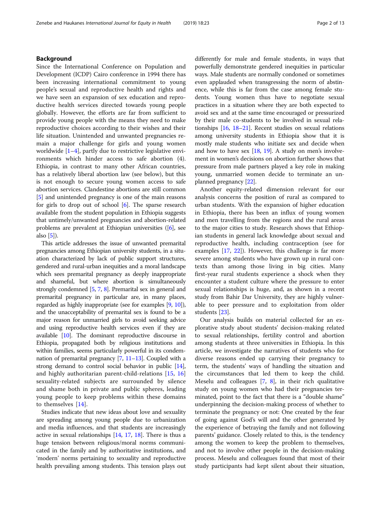## Background

Since the International Conference on Population and Development (ICDP) Cairo conference in 1994 there has been increasing international commitment to young people's sexual and reproductive health and rights and we have seen an expansion of sex education and reproductive health services directed towards young people globally. However, the efforts are far from sufficient to provide young people with the means they need to make reproductive choices according to their wishes and their life situation. Unintended and unwanted pregnancies remain a major challenge for girls and young women worldwide  $[1-4]$  $[1-4]$  $[1-4]$ , partly due to restrictive legislative environments which hinder access to safe abortion (4). Ethiopia, in contrast to many other African countries, has a relatively liberal abortion law (see below), but this is not enough to secure young women access to safe abortion services. Clandestine abortions are still common [[5\]](#page-11-0) and unintended pregnancy is one of the main reasons for girls to drop out of school [\[6\]](#page-11-0). The sparse research available from the student population in Ethiopia suggests that untimely/unwanted pregnancies and abortion-related problems are prevalent at Ethiopian universities ([\[6](#page-11-0)], see also [[5\]](#page-11-0)).

This article addresses the issue of unwanted premarital pregnancies among Ethiopian university students, in a situation characterized by lack of public support structures, gendered and rural-urban inequities and a moral landscape which sees premarital pregnancy as deeply inappropriate and shameful, but where abortion is simultaneously strongly condemned [\[5,](#page-11-0) [7](#page-11-0), [8](#page-11-0)]. Premarital sex in general and premarital pregnancy in particular are, in many places, regarded as highly inappropriate (see for examples [\[9,](#page-12-0) [10](#page-12-0)]), and the unacceptability of premarital sex is found to be a major reason for unmarried girls to avoid seeking advice and using reproductive health services even if they are available [[10](#page-12-0)]. The dominant reproductive discourse in Ethiopia, propagated both by religious institutions and within families, seems particularly powerful in its condemnation of premarital pregnancy  $[7, 11-13]$  $[7, 11-13]$  $[7, 11-13]$  $[7, 11-13]$  $[7, 11-13]$ . Coupled with a strong demand to control social behavior in public [\[14](#page-12-0)], and highly authoritarian parent-child-relations [\[15](#page-12-0), [16](#page-12-0)] sexuality-related subjects are surrounded by silence and shame both in private and public spheres, leading young people to keep problems within these domains to themselves [[14\]](#page-12-0).

Studies indicate that new ideas about love and sexuality are spreading among young people due to urbanization and media influences, and that students are increasingly active in sexual relationships [[14,](#page-12-0) [17,](#page-12-0) [18\]](#page-12-0). There is thus a huge tension between religious/moral norms communicated in the family and by authoritative institutions, and 'modern' norms pertaining to sexuality and reproductive health prevailing among students. This tension plays out differently for male and female students, in ways that powerfully demonstrate gendered inequities in particular ways. Male students are normally condoned or sometimes even applauded when transgressing the norm of abstinence, while this is far from the case among female students. Young women thus have to negotiate sexual practices in a situation where they are both expected to avoid sex and at the same time encouraged or pressurized by their male co-students to be involved in sexual relationships [\[16,](#page-12-0) [18](#page-12-0)–[21\]](#page-12-0). Recent studies on sexual relations among university students in Ethiopia show that it is mostly male students who initiate sex and decide when and how to have sex [[18](#page-12-0), [19\]](#page-12-0). A study on men's involvement in women's decisions on abortion further shows that pressure from male partners played a key role in making young, unmarried women decide to terminate an unplanned pregnancy [\[22\]](#page-12-0).

Another equity-related dimension relevant for our analysis concerns the position of rural as compared to urban students. With the expansion of higher education in Ethiopia, there has been an influx of young women and men travelling from the regions and the rural areas to the major cities to study. Research shows that Ethiopian students in general lack knowledge about sexual and reproductive health, including contraception (see for examples [[17,](#page-12-0) [22\]](#page-12-0)). However, this challenge is far more severe among students who have grown up in rural contexts than among those living in big cities. Many first-year rural students experience a shock when they encounter a student culture where the pressure to enter sexual relationships is huge, and, as shown in a recent study from Bahir Dar University, they are highly vulnerable to peer pressure and to exploitation from older students [\[23](#page-12-0)].

Our analysis builds on material collected for an explorative study about students' decision-making related to sexual relationships, fertility control and abortion among students at three universities in Ethiopia. In this article, we investigate the narratives of students who for diverse reasons ended up carrying their pregnancy to term, the students' ways of handling the situation and the circumstances that led them to keep the child. Meselu and colleagues [[7,](#page-11-0) [8](#page-11-0)], in their rich qualitative study on young women who had their pregnancies terminated, point to the fact that there is a "double shame" underpinning the decision-making process of whether to terminate the pregnancy or not: One created by the fear of going against God's will and the other generated by the experience of betraying the family and not following parents' guidance. Closely related to this, is the tendency among the women to keep the problem to themselves, and not to involve other people in the decision-making process. Meselu and colleagues found that most of their study participants had kept silent about their situation,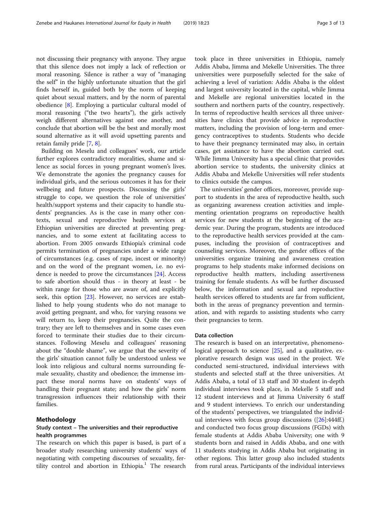not discussing their pregnancy with anyone. They argue that this silence does not imply a lack of reflection or moral reasoning. Silence is rather a way of "managing the self" in the highly unfortunate situation that the girl finds herself in, guided both by the norm of keeping quiet about sexual matters, and by the norm of parental obedience [[8\]](#page-11-0). Employing a particular cultural model of moral reasoning ("the two hearts"), the girls actively weigh different alternatives against one another, and conclude that abortion will be the best and morally most sound alternative as it will avoid upsetting parents and retain family pride [\[7](#page-11-0), [8](#page-11-0)].

Building on Meselu and colleagues' work, our article further explores contradictory moralities, shame and silence as social forces in young pregnant women's lives. We demonstrate the agonies the pregnancy causes for individual girls, and the serious outcomes it has for their wellbeing and future prospects. Discussing the girls' struggle to cope, we question the role of universities' health/support systems and their capacity to handle students' pregnancies. As is the case in many other contexts, sexual and reproductive health services at Ethiopian universities are directed at preventing pregnancies, and to some extent at facilitating access to abortion. From 2005 onwards Ethiopia's criminal code permits termination of pregnancies under a wide range of circumstances (e.g. cases of rape, incest or minority) and on the word of the pregnant women, i.e. no evidence is needed to prove the circumstances [\[24](#page-12-0)]. Access to safe abortion should thus - in theory at least - be within range for those who are aware of, and explicitly seek, this option [\[23\]](#page-12-0). However, no services are established to help young students who do not manage to avoid getting pregnant, and who, for varying reasons we will return to, keep their pregnancies. Quite the contrary; they are left to themselves and in some cases even forced to terminate their studies due to their circumstances. Following Meselu and colleagues' reasoning about the "double shame", we argue that the severity of the girls' situation cannot fully be understood unless we look into religious and cultural norms surrounding female sexuality, chastity and obedience; the immense impact these moral norms have on students' ways of handling their pregnant state; and how the girls' norm transgression influences their relationship with their families.

## Methodology

## Study context – The universities and their reproductive health programmes

The research on which this paper is based, is part of a broader study researching university students' ways of negotiating with competing discourses of sexuality, fertility control and abortion in Ethiopia. $1$  The research took place in three universities in Ethiopia, namely Addis Ababa, Jimma and Mekelle Universities. The three universities were purposefully selected for the sake of achieving a level of variation: Addis Ababa is the oldest and largest university located in the capital, while Jimma and Mekelle are regional universities located in the southern and northern parts of the country, respectively. In terms of reproductive health services all three universities have clinics that provide advice in reproductive matters, including the provision of long-term and emergency contraceptives to students. Students who decide to have their pregnancy terminated may also, in certain cases, get assistance to have the abortion carried out. While Jimma University has a special clinic that provides abortion service to students, the university clinics at Addis Ababa and Mekelle Universities will refer students to clinics outside the campus.

The universities' gender offices, moreover, provide support to students in the area of reproductive health, such as organizing awareness creation activities and implementing orientation programs on reproductive health services for new students at the beginning of the academic year. During the program, students are introduced to the reproductive health services provided at the campuses, including the provision of contraceptives and counseling services. Moreover, the gender offices of the universities organize training and awareness creation programs to help students make informed decisions on reproductive health matters, including assertiveness training for female students. As will be further discussed below, the information and sexual and reproductive health services offered to students are far from sufficient, both in the areas of pregnancy prevention and termination, and with regards to assisting students who carry their pregnancies to term.

## Data collection

The research is based on an interpretative, phenomeno-logical approach to science [\[25](#page-12-0)], and a qualitative, explorative research design was used in the project. We conducted semi-structured, individual interviews with students and selected staff at the three universities. At Addis Ababa, a total of 13 staff and 30 student in-depth individual interviews took place, in Mekelle 5 staff and 12 student interviews and at Jimma University 6 staff and 9 student interviews. To enrich our understanding of the students' perspectives, we triangulated the individual interviews with focus group discussions  $([26]:444\text{ff.})$  $([26]:444\text{ff.})$  $([26]:444\text{ff.})$ and conducted two focus group discussions (FGDs) with female students at Addis Ababa University; one with 9 students born and raised in Addis Ababa, and one with 11 students studying in Addis Ababa but originating in other regions. This latter group also included students from rural areas. Participants of the individual interviews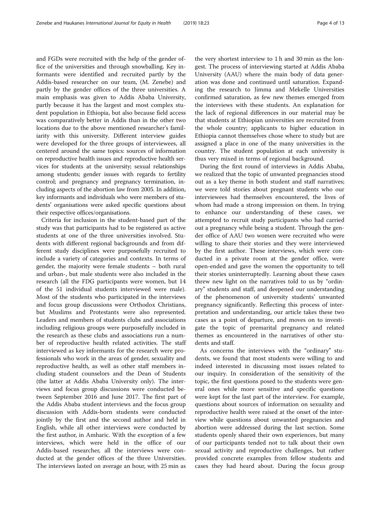and FGDs were recruited with the help of the gender office of the universities and through snowballing. Key informants were identified and recruited partly by the Addis-based researcher on our team, (M. Zenebe) and partly by the gender offices of the three universities. A main emphasis was given to Addis Ababa University, partly because it has the largest and most complex student population in Ethiopia, but also because field access was comparatively better in Addis than in the other two locations due to the above mentioned researcher's familiarity with this university. Different interview guides were developed for the three groups of interviewees, all centered around the same topics: sources of information on reproductive health issues and reproductive health services for students at the university; sexual relationships among students; gender issues with regards to fertility control; and pregnancy and pregnancy termination, including aspects of the abortion law from 2005. In addition, key informants and individuals who were members of students' organisations were asked specific questions about their respective offices/organisations.

Criteria for inclusion in the student-based part of the study was that participants had to be registered as active students at one of the three universities involved. Students with different regional backgrounds and from different study disciplines were purposefully recruited to include a variety of categories and contexts. In terms of gender, the majority were female students – both rural and urban-, but male students were also included in the research (all the FDG participants were women, but 14 of the 51 individual students interviewed were male). Most of the students who participated in the interviews and focus group discussions were Orthodox Christians, but Muslims and Protestants were also represented. Leaders and members of students clubs and associations including religious groups were purposefully included in the research as these clubs and associations run a number of reproductive health related activities. The staff interviewed as key informants for the research were professionals who work in the areas of gender, sexuality and reproductive health, as well as other staff members including student counselors and the Dean of Students (the latter at Addis Ababa University only). The interviews and focus group discussions were conducted between September 2016 and June 2017. The first part of the Addis Ababa student interviews and the focus group discussion with Addis-born students were conducted jointly by the first and the second author and held in English, while all other interviews were conducted by the first author, in Amharic. With the exception of a few interviews, which were held in the office of our Addis-based researcher, all the interviews were conducted at the gender offices of the three Universities. The interviews lasted on average an hour, with 25 min as

the very shortest interview to 1 h and 30 min as the longest. The process of interviewing started at Addis Ababa University (AAU) where the main body of data generation was done and continued until saturation. Expanding the research to Jimma and Mekelle Universities confirmed saturation, as few new themes emerged from the interviews with these students. An explanation for the lack of regional differences in our material may be that students at Ethiopian universities are recruited from the whole country; applicants to higher education in Ethiopia cannot themselves chose where to study but are assigned a place in one of the many universities in the country. The student population at each university is thus very mixed in terms of regional background.

During the first round of interviews in Addis Ababa, we realized that the topic of unwanted pregnancies stood out as a key theme in both student and staff narratives; we were told stories about pregnant students who our interviewees had themselves encountered, the lives of whom had made a strong impression on them. In trying to enhance our understanding of these cases, we attempted to recruit study participants who had carried out a pregnancy while being a student. Through the gender office of AAU two women were recruited who were willing to share their stories and they were interviewed by the first author. These interviews, which were conducted in a private room at the gender office, were open-ended and gave the women the opportunity to tell their stories uninterruptedly. Learning about these cases threw new light on the narratives told to us by "ordinary" students and staff, and deepened our understanding of the phenomenon of university students' unwanted pregnancy significantly. Reflecting this process of interpretation and understanding, our article takes these two cases as a point of departure, and moves on to investigate the topic of premarital pregnancy and related themes as encountered in the narratives of other students and staff.

As concerns the interviews with the "ordinary" students, we found that most students were willing to and indeed interested in discussing most issues related to our inquiry. In consideration of the sensitivity of the topic, the first questions posed to the students were general ones while more sensitive and specific questions were kept for the last part of the interview. For example, questions about sources of information on sexuality and reproductive health were raised at the onset of the interview while questions about unwanted pregnancies and abortion were addressed during the last section. Some students openly shared their own experiences, but many of our participants tended not to talk about their own sexual activity and reproductive challenges, but rather provided concrete examples from fellow students and cases they had heard about. During the focus group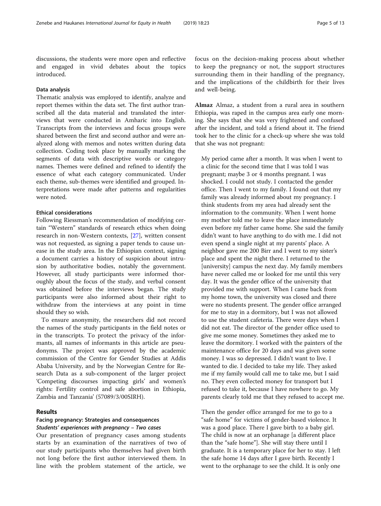discussions, the students were more open and reflective and engaged in vivid debates about the topics introduced.

## Data analysis

Thematic analysis was employed to identify, analyze and report themes within the data set. The first author transcribed all the data material and translated the interviews that were conducted in Amharic into English. Transcripts from the interviews and focus groups were shared between the first and second author and were analyzed along with memos and notes written during data collection. Coding took place by manually marking the segments of data with descriptive words or category names. Themes were defined and refined to identify the essence of what each category communicated. Under each theme, sub-themes were identified and grouped. Interpretations were made after patterns and regularities were noted.

## Ethical considerations

Following Riessman's recommendation of modifying certain "Western" standards of research ethics when doing research in non-Western contexts, [\[27](#page-12-0)], written consent was not requested, as signing a paper tends to cause unease in the study area. In the Ethiopian context, signing a document carries a history of suspicion about intrusion by authoritative bodies, notably the government. However, all study participants were informed thoroughly about the focus of the study, and verbal consent was obtained before the interviews began. The study participants were also informed about their right to withdraw from the interviews at any point in time should they so wish.

To ensure anonymity, the researchers did not record the names of the study participants in the field notes or in the transcripts. To protect the privacy of the informants, all names of informants in this article are pseudonyms. The project was approved by the academic commission of the Centre for Gender Studies at Addis Ababa University, and by the Norwegian Centre for Research Data as a sub-component of the larger project 'Competing discourses impacting girls' and women's rights: Fertility control and safe abortion in Ethiopia, Zambia and Tanzania' (57089/3/00SIRH).

## Results

## Facing pregnancy: Strategies and consequences Students' experiences with pregnancy – Two cases

Our presentation of pregnancy cases among students starts by an examination of the narratives of two of our study participants who themselves had given birth not long before the first author interviewed them. In line with the problem statement of the article, we focus on the decision-making process about whether to keep the pregnancy or not, the support structures surrounding them in their handling of the pregnancy, and the implications of the childbirth for their lives and well-being.

Almaz Almaz, a student from a rural area in southern Ethiopia, was raped in the campus area early one morning. She says that she was very frightened and confused after the incident, and told a friend about it. The friend took her to the clinic for a check-up where she was told that she was not pregnant:

My period came after a month. It was when I went to a clinic for the second time that I was told I was pregnant; maybe 3 or 4 months pregnant. I was shocked. I could not study. I contacted the gender office. Then I went to my family. I found out that my family was already informed about my pregnancy. I think students from my area had already sent the information to the community. When I went home my mother told me to leave the place immediately even before my father came home. She said the family didn't want to have anything to do with me. I did not even spend a single night at my parents' place. A neighbor gave me 200 Birr and I went to my sister's place and spent the night there. I returned to the [university] campus the next day. My family members have never called me or looked for me until this very day. It was the gender office of the university that provided me with support. When I came back from my home town, the university was closed and there were no students present. The gender office arranged for me to stay in a dormitory, but I was not allowed to use the student cafeteria. There were days when I did not eat. The director of the gender office used to give me some money. Sometimes they asked me to leave the dormitory. I worked with the painters of the maintenance office for 20 days and was given some money. I was so depressed. I didn't want to live. I wanted to die. I decided to take my life. They asked me if my family would call me to take me, but I said no. They even collected money for transport but I refused to take it, because I have nowhere to go. My parents clearly told me that they refused to accept me.

Then the gender office arranged for me to go to a "safe home" for victims of gender-based violence. It was a good place. There I gave birth to a baby girl. The child is now at an orphanage [a different place than the "safe home"]. She will stay there until I graduate. It is a temporary place for her to stay. I left the safe home 14 days after I gave birth. Recently I went to the orphanage to see the child. It is only one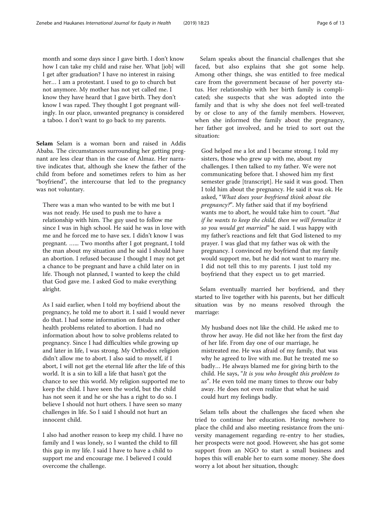month and some days since I gave birth. I don't know how I can take my child and raise her. What [job] will I get after graduation? I have no interest in raising her… I am a protestant. I used to go to church but not anymore. My mother has not yet called me. I know they have heard that I gave birth. They don't know I was raped. They thought I got pregnant willingly. In our place, unwanted pregnancy is considered a taboo. I don't want to go back to my parents.

Selam Selam is a woman born and raised in Addis Ababa. The circumstances surrounding her getting pregnant are less clear than in the case of Almaz. Her narrative indicates that, although she knew the father of the child from before and sometimes refers to him as her "boyfriend", the intercourse that led to the pregnancy was not voluntary.

There was a man who wanted to be with me but I was not ready. He used to push me to have a relationship with him. The guy used to follow me since I was in high school. He said he was in love with me and he forced me to have sex. I didn't know I was pregnant. …... Two months after I got pregnant, I told the man about my situation and he said I should have an abortion. I refused because I thought I may not get a chance to be pregnant and have a child later on in life. Though not planned, I wanted to keep the child that God gave me. I asked God to make everything alright.

As I said earlier, when I told my boyfriend about the pregnancy, he told me to abort it. I said I would never do that. I had some information on fistula and other health problems related to abortion. I had no information about how to solve problems related to pregnancy. Since I had difficulties while growing up and later in life, I was strong. My Orthodox religion didn't allow me to abort. I also said to myself, if I abort, I will not get the eternal life after the life of this world. It is a sin to kill a life that hasn't got the chance to see this world. My religion supported me to keep the child. I have seen the world, but the child has not seen it and he or she has a right to do so. I believe I should not hurt others. I have seen so many challenges in life. So I said I should not hurt an innocent child.

I also had another reason to keep my child. I have no family and I was lonely, so I wanted the child to fill this gap in my life. I said I have to have a child to support me and encourage me. I believed I could overcome the challenge.

Selam speaks about the financial challenges that she faced, but also explains that she got some help. Among other things, she was entitled to free medical care from the government because of her poverty status. Her relationship with her birth family is complicated; she suspects that she was adopted into the family and that is why she does not feel well-treated by or close to any of the family members. However, when she informed the family about the pregnancy, her father got involved, and he tried to sort out the situation:

God helped me a lot and I became strong. I told my sisters, those who grew up with me, about my challenges. I then talked to my father. We were not communicating before that. I showed him my first semester grade [transcript]. He said it was good. Then I told him about the pregnancy. He said it was ok. He asked, "What does your boyfriend think about the pregnancy?". My father said that if my boyfriend wants me to abort, he would take him to court. "But if he wants to keep the child, then we will formalize it so you would get married" he said. I was happy with my father's reactions and felt that God listened to my prayer. I was glad that my father was ok with the pregnancy. I convinced my boyfriend that my family would support me, but he did not want to marry me. I did not tell this to my parents. I just told my boyfriend that they expect us to get married.

Selam eventually married her boyfriend, and they started to live together with his parents, but her difficult situation was by no means resolved through the marriage:

My husband does not like the child. He asked me to throw her away. He did not like her from the first day of her life. From day one of our marriage, he mistreated me. He was afraid of my family, that was why he agreed to live with me. But he treated me so badly… He always blamed me for giving birth to the child. He says, "It is you who brought this problem to  $us$ ". He even told me many times to throw our baby away. He does not even realize that what he said could hurt my feelings badly.

Selam tells about the challenges she faced when she tried to continue her education. Having nowhere to place the child and also meeting resistance from the university management regarding re-entry to her studies, her prospects were not good. However, she has got some support from an NGO to start a small business and hopes this will enable her to earn some money. She does worry a lot about her situation, though: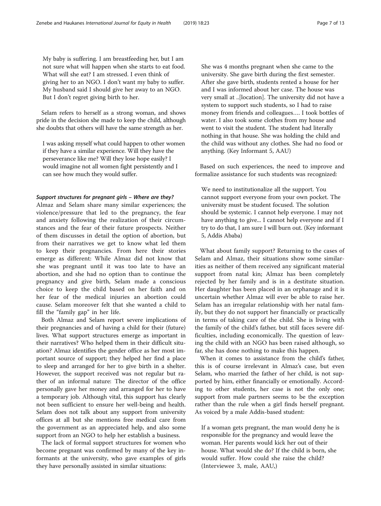My baby is suffering. I am breastfeeding her, but I am not sure what will happen when she starts to eat food. What will she eat? I am stressed. I even think of giving her to an NGO. I don't want my baby to suffer. My husband said I should give her away to an NGO. But I don't regret giving birth to her.

Selam refers to herself as a strong woman, and shows pride in the decision she made to keep the child, although she doubts that others will have the same strength as her.

I was asking myself what could happen to other women if they have a similar experience. Will they have the perseverance like me? Will they lose hope easily? I would imagine not all women fight persistently and I can see how much they would suffer.

### Support structures for pregnant girls – Where are they?

Almaz and Selam share many similar experiences; the violence/pressure that led to the pregnancy, the fear and anxiety following the realization of their circumstances and the fear of their future prospects. Neither of them discusses in detail the option of abortion, but from their narratives we get to know what led them to keep their pregnancies. From here their stories emerge as different: While Almaz did not know that she was pregnant until it was too late to have an abortion, and she had no option than to continue the pregnancy and give birth, Selam made a conscious choice to keep the child based on her faith and on her fear of the medical injuries an abortion could cause. Selam moreover felt that she wanted a child to fill the "family gap" in her life.

Both Almaz and Selam report severe implications of their pregnancies and of having a child for their (future) lives. What support structures emerge as important in their narratives? Who helped them in their difficult situation? Almaz identifies the gender office as her most important source of support; they helped her find a place to sleep and arranged for her to give birth in a shelter. However, the support received was not regular but rather of an informal nature: The director of the office personally gave her money and arranged for her to have a temporary job. Although vital, this support has clearly not been sufficient to ensure her well-being and health. Selam does not talk about any support from university offices at all but she mentions free medical care from the government as an appreciated help, and also some support from an NGO to help her establish a business.

The lack of formal support structures for women who become pregnant was confirmed by many of the key informants at the university, who gave examples of girls they have personally assisted in similar situations:

She was 4 months pregnant when she came to the university. She gave birth during the first semester. After she gave birth, students rented a house for her and I was informed about her case. The house was very small at ..[location]. The university did not have a system to support such students, so I had to raise money from friends and colleagues…. I took bottles of water. I also took some clothes from my house and went to visit the student. The student had literally nothing in that house. She was holding the child and the child was without any clothes. She had no food or anything. (Key Informant 5, AAU)

Based on such experiences, the need to improve and formalize assistance for such students was recognized:

We need to institutionalize all the support. You cannot support everyone from your own pocket. The university must be student focused. The solution should be systemic. I cannot help everyone. I may not have anything to give... I cannot help everyone and if I try to do that, I am sure I will burn out. (Key informant 5, Addis Ababa)

What about family support? Returning to the cases of Selam and Almaz, their situations show some similarities as neither of them received any significant material support from natal kin; Almaz has been completely rejected by her family and is in a destitute situation. Her daughter has been placed in an orphanage and it is uncertain whether Almaz will ever be able to raise her. Selam has an irregular relationship with her natal family, but they do not support her financially or practically in terms of taking care of the child. She is living with the family of the child's father, but still faces severe difficulties, including economically. The question of leaving the child with an NGO has been raised although, so far, she has done nothing to make this happen.

When it comes to assistance from the child's father, this is of course irrelevant in Almaz's case, but even Selam, who married the father of her child, is not supported by him, either financially or emotionally. According to other students, her case is not the only one; support from male partners seems to be the exception rather than the rule when a girl finds herself pregnant. As voiced by a male Addis-based student:

If a woman gets pregnant, the man would deny he is responsible for the pregnancy and would leave the woman. Her parents would kick her out of their house. What would she do? If the child is born, she would suffer. How could she raise the child? (Interviewee 3, male, AAU,)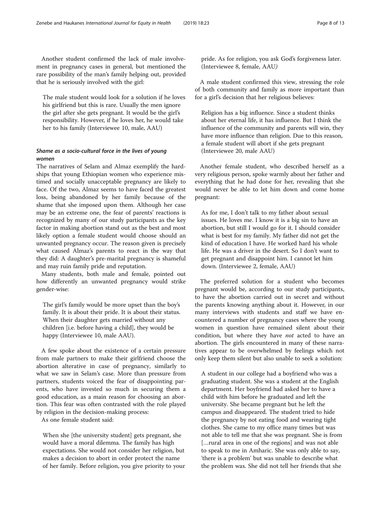Another student confirmed the lack of male involvement in pregnancy cases in general, but mentioned the rare possibility of the man's family helping out, provided that he is seriously involved with the girl:

The male student would look for a solution if he loves his girlfriend but this is rare. Usually the men ignore the girl after she gets pregnant. It would be the girl's responsibility. However, if he loves her, he would take her to his family (Interviewee 10, male, AAU)

## Shame as a socio-cultural force in the lives of young women

The narratives of Selam and Almaz exemplify the hardships that young Ethiopian women who experience mistimed and socially unacceptable pregnancy are likely to face. Of the two, Almaz seems to have faced the greatest loss, being abandoned by her family because of the shame that she imposed upon them. Although her case may be an extreme one, the fear of parents' reactions is recognized by many of our study participants as the key factor in making abortion stand out as the best and most likely option a female student would choose should an unwanted pregnancy occur. The reason given is precisely what caused Almaz's parents to react in the way that they did: A daughter's pre-marital pregnancy is shameful and may ruin family pride and reputation.

Many students, both male and female, pointed out how differently an unwanted pregnancy would strike gender-wise:

The girl's family would be more upset than the boy's family. It is about their pride. It is about their status. When their daughter gets married without any children [i.e. before having a child], they would be happy (Interviewee 10, male AAU).

A few spoke about the existence of a certain pressure from male partners to make their girlfriend choose the abortion alterative in case of pregnancy, similarly to what we saw in Selam's case. More than pressure from partners, students voiced the fear of disappointing parents, who have invested so much in securing them a good education, as a main reason for choosing an abortion. This fear was often contrasted with the role played by religion in the decision-making process:

As one female student said:

When she [the university student] gets pregnant, she would have a moral dilemma. The family has high expectations. She would not consider her religion, but makes a decision to abort in order protect the name of her family. Before religion, you give priority to your pride. As for religion, you ask God's forgiveness later. (Interviewee 8, female, AAU)

A male student confirmed this view, stressing the role of both community and family as more important than for a girl's decision that her religious believes:

Religion has a big influence. Since a student thinks about her eternal life, it has influence. But I think the influence of the community and parents will win, they have more influence than religion. Due to this reason, a female student will abort if she gets pregnant (Interviewee 20, male AAU)

Another female student, who described herself as a very religious person, spoke warmly about her father and everything that he had done for her, revealing that she would never be able to let him down and come home pregnant:

As for me, I don't talk to my father about sexual issues. He loves me. I know it is a big sin to have an abortion, but still I would go for it. I should consider what is best for my family. My father did not get the kind of education I have. He worked hard his whole life. He was a driver in the desert. So I don't want to get pregnant and disappoint him. I cannot let him down. (Interviewee 2, female, AAU)

The preferred solution for a student who becomes pregnant would be, according to our study participants, to have the abortion carried out in secret and without the parents knowing anything about it. However, in our many interviews with students and staff we have encountered a number of pregnancy cases where the young women in question have remained silent about their condition, but where they have not acted to have an abortion. The girls encountered in many of these narratives appear to be overwhelmed by feelings which not only keep them silent but also unable to seek a solution:

A student in our college had a boyfriend who was a graduating student. She was a student at the English department. Her boyfriend had asked her to have a child with him before he graduated and left the university. She became pregnant but he left the campus and disappeared. The student tried to hide the pregnancy by not eating food and wearing tight clothes. She came to my office many times but was not able to tell me that she was pregnant. She is from […rural area in one of the regions] and was not able to speak to me in Amharic. She was only able to say, 'there is a problem' but was unable to describe what the problem was. She did not tell her friends that she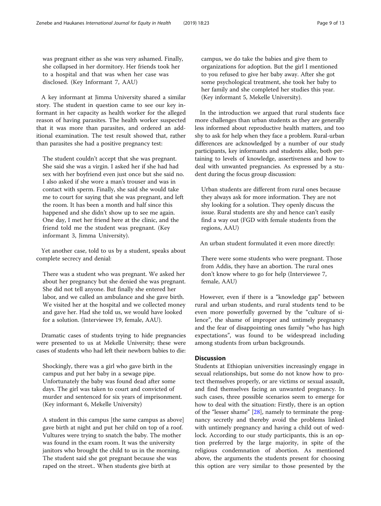was pregnant either as she was very ashamed. Finally, she collapsed in her dormitory. Her friends took her to a hospital and that was when her case was disclosed. (Key Informant 7, AAU)

A key informant at Jimma University shared a similar story. The student in question came to see our key informant in her capacity as health worker for the alleged reason of having parasites. The health worker suspected that it was more than parasites, and ordered an additional examination. The test result showed that, rather than parasites she had a positive pregnancy test:

The student couldn't accept that she was pregnant. She said she was a virgin. I asked her if she had had sex with her boyfriend even just once but she said no. I also asked if she wore a man's trouser and was in contact with sperm. Finally, she said she would take me to court for saying that she was pregnant, and left the room. It has been a month and half since this happened and she didn't show up to see me again. One day, I met her friend here at the clinic, and the friend told me the student was pregnant. (Key informant 3, Jimma University).

Yet another case, told to us by a student, speaks about complete secrecy and denial:

There was a student who was pregnant. We asked her about her pregnancy but she denied she was pregnant. She did not tell anyone. But finally she entered her labor, and we called an ambulance and she gave birth. We visited her at the hospital and we collected money and gave her. Had she told us, we would have looked for a solution. (Interviewee 19, female, AAU).

Dramatic cases of students trying to hide pregnancies were presented to us at Mekelle University; these were cases of students who had left their newborn babies to die:

Shockingly, there was a girl who gave birth in the campus and put her baby in a sewage pipe. Unfortunately the baby was found dead after some days. The girl was taken to court and convicted of murder and sentenced for six years of imprisonment. (Key informant 6, Mekelle University)

A student in this campus [the same campus as above] gave birth at night and put her child on top of a roof. Vultures were trying to snatch the baby. The mother was found in the exam room. It was the university janitors who brought the child to us in the morning. The student said she got pregnant because she was raped on the street.. When students give birth at

campus, we do take the babies and give them to organizations for adoption. But the girl I mentioned to you refused to give her baby away. After she got some psychological treatment, she took her baby to her family and she completed her studies this year. (Key informant 5, Mekelle University).

In the introduction we argued that rural students face more challenges than urban students as they are generally less informed about reproductive health matters, and too shy to ask for help when they face a problem. Rural-urban differences are acknowledged by a number of our study participants, key informants and students alike, both pertaining to levels of knowledge, assertiveness and how to deal with unwanted pregnancies. As expressed by a student during the focus group discussion:

Urban students are different from rural ones because they always ask for more information. They are not shy looking for a solution. They openly discuss the issue. Rural students are shy and hence can't easily find a way out (FGD with female students from the regions, AAU)

An urban student formulated it even more directly:

There were some students who were pregnant. Those from Addis, they have an abortion. The rural ones don't know where to go for help (Interviewee 7, female, AAU)

However, even if there is a "knowledge gap" between rural and urban students, and rural students tend to be even more powerfully governed by the "culture of silence", the shame of improper and untimely pregnancy and the fear of disappointing ones family "who has high expectations", was found to be widespread including among students from urban backgrounds.

## **Discussion**

Students at Ethiopian universities increasingly engage in sexual relationships, but some do not know how to protect themselves properly, or are victims or sexual assault, and find themselves facing an unwanted pregnancy. In such cases, three possible scenarios seem to emerge for how to deal with the situation: Firstly, there is an option of the "lesser shame" [[28\]](#page-12-0), namely to terminate the pregnancy secretly and thereby avoid the problems linked with untimely pregnancy and having a child out of wedlock. According to our study participants, this is an option preferred by the large majority, in spite of the religious condemnation of abortion. As mentioned above, the arguments the students present for choosing this option are very similar to those presented by the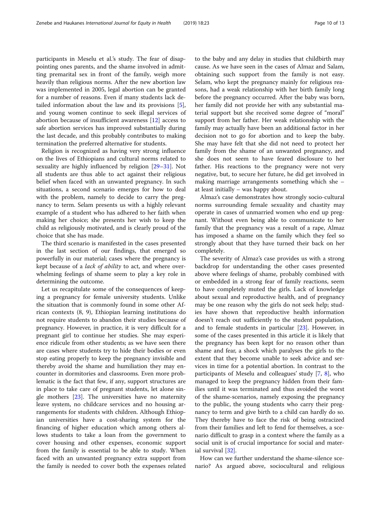participants in Meselu et al.'s study. The fear of disappointing ones parents, and the shame involved in admitting premarital sex in front of the family, weigh more heavily than religious norms. After the new abortion law was implemented in 2005, legal abortion can be granted for a number of reasons. Even if many students lack detailed information about the law and its provisions [\[5](#page-11-0)], and young women continue to seek illegal services of abortion because of insufficient awareness [\[12](#page-12-0)] access to safe abortion services has improved substantially during the last decade, and this probably contributes to making termination the preferred alternative for students.

Religion is recognized as having very strong influence on the lives of Ethiopians and cultural norms related to sexuality are highly influenced by religion [[29](#page-12-0)–[31](#page-12-0)]. Not all students are thus able to act against their religious belief when faced with an unwanted pregnancy. In such situations, a second scenario emerges for how to deal with the problem, namely to decide to carry the pregnancy to term. Selam presents us with a highly relevant example of a student who has adhered to her faith when making her choice; she presents her wish to keep the child as religiously motivated, and is clearly proud of the choice that she has made.

The third scenario is manifested in the cases presented in the last section of our findings, that emerged so powerfully in our material; cases where the pregnancy is kept because of a lack of ability to act, and where overwhelming feelings of shame seem to play a key role in determining the outcome.

Let us recapitulate some of the consequences of keeping a pregnancy for female university students. Unlike the situation that is commonly found in some other African contexts (8, 9), Ethiopian learning institutions do not require students to abandon their studies because of pregnancy. However, in practice, it is very difficult for a pregnant girl to continue her studies. She may experience ridicule from other students; as we have seen there are cases where students try to hide their bodies or even stop eating properly to keep the pregnancy invisible and thereby avoid the shame and humiliation they may encounter in dormitories and classrooms. Even more problematic is the fact that few, if any, support structures are in place to take care of pregnant students, let alone single mothers [\[23](#page-12-0)]. The universities have no maternity leave system, no childcare services and no housing arrangements for students with children. Although Ethiopian universities have a cost-sharing system for the financing of higher education which among others allows students to take a loan from the government to cover housing and other expenses, economic support from the family is essential to be able to study. When faced with an unwanted pregnancy extra support from the family is needed to cover both the expenses related

to the baby and any delay in studies that childbirth may cause. As we have seen in the cases of Almaz and Salam, obtaining such support from the family is not easy. Selam, who kept the pregnancy mainly for religious reasons, had a weak relationship with her birth family long before the pregnancy occurred. After the baby was born, her family did not provide her with any substantial material support but she received some degree of "moral" support from her father. Her weak relationship with the family may actually have been an additional factor in her decision not to go for abortion and to keep the baby. She may have felt that she did not need to protect her family from the shame of an unwanted pregnancy, and she does not seem to have feared disclosure to her father. His reactions to the pregnancy were not very negative, but, to secure her future, he did get involved in making marriage arrangements something which she – at least initially – was happy about.

Almaz's case demonstrates how strongly socio-cultural norms surrounding female sexuality and chastity may operate in cases of unmarried women who end up pregnant. Without even being able to communicate to her family that the pregnancy was a result of a rape, Almaz has imposed a shame on the family which they feel so strongly about that they have turned their back on her completely.

The severity of Almaz's case provides us with a strong backdrop for understanding the other cases presented above where feelings of shame, probably combined with or embedded in a strong fear of family reactions, seem to have completely muted the girls. Lack of knowledge about sexual and reproductive health, and of pregnancy may be one reason why the girls do not seek help; studies have shown that reproductive health information doesn't reach out sufficiently to the student population, and to female students in particular [[23\]](#page-12-0). However, in some of the cases presented in this article it is likely that the pregnancy has been kept for no reason other than shame and fear, a shock which paralyses the girls to the extent that they become unable to seek advice and services in time for a potential abortion. In contrast to the participants of Meselu and colleagues' study [\[7](#page-11-0), [8](#page-11-0)], who managed to keep the pregnancy hidden from their families until it was terminated and thus avoided the worst of the shame-scenarios, namely exposing the pregnancy to the public, the young students who carry their pregnancy to term and give birth to a child can hardly do so. They thereby have to face the risk of being ostracized from their families and left to fend for themselves, a scenario difficult to grasp in a context where the family as a social unit is of crucial importance for social and material survival [[32\]](#page-12-0).

How can we further understand the shame-silence scenario? As argued above, sociocultural and religious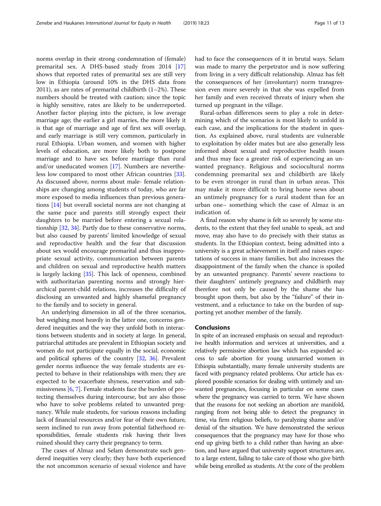norms overlap in their strong condemnation of (female) premarital sex. A DHS-based study from 2014 [[17](#page-12-0)] shows that reported rates of premarital sex are still very low in Ethiopia (around 10% in the DHS data from 2011), as are rates of premarital childbirth (1–2%). These numbers should be treated with caution; since the topic is highly sensitive, rates are likely to be underreported. Another factor playing into the picture, is low average marriage age; the earlier a girl marries, the more likely it is that age of marriage and age of first sex will overlap, and early marriage is still very common, particularly in rural Ethiopia. Urban women, and women with higher levels of education, are more likely both to postpone marriage and to have sex before marriage than rural and/or uneducated women [\[17](#page-12-0)]. Numbers are nevertheless low compared to most other African countries [\[33](#page-12-0)]. As discussed above, norms about male- female relationships are changing among students of today, who are far more exposed to media influences than previous generations [\[14](#page-12-0)] but overall societal norms are not changing at the same pace and parents still strongly expect their daughters to be married before entering a sexual relationship [[32,](#page-12-0) [34\]](#page-12-0). Partly due to these conservative norms, but also caused by parents' limited knowledge of sexual and reproductive health and the fear that discussion about sex would encourage premarital and thus inappropriate sexual activity, communication between parents and children on sexual and reproductive health matters is largely lacking [\[35](#page-12-0)]. This lack of openness, combined with authoritarian parenting norms and strongly hierarchical parent-child relations, increases the difficulty of disclosing an unwanted and highly shameful pregnancy to the family and to society in general.

An underlying dimension in all of the three scenarios, but weighing most heavily in the latter one, concerns gendered inequities and the way they unfold both in interactions between students and in society at large. In general, patriarchal attitudes are prevalent in Ethiopian society and women do not participate equally in the social, economic and political spheres of the country [[32,](#page-12-0) [36](#page-12-0)]. Prevalent gender norms influence the way female students are expected to behave in their relationships with men; they are expected to be exacerbate shyness, reservation and submissiveness [[6](#page-11-0), [7\]](#page-11-0). Female students face the burden of protecting themselves during intercourse, but are also those who have to solve problems related to unwanted pregnancy. While male students, for various reasons including lack of financial resources and/or fear of their own future, seem inclined to run away from potential fatherhood responsibilities, female students risk having their lives ruined should they carry their pregnancy to term.

The cases of Almaz and Selam demonstrate such gendered inequities very clearly; they have both experienced the not uncommon scenario of sexual violence and have had to face the consequences of it in brutal ways. Selam was made to marry the perpetrator and is now suffering from living in a very difficult relationship. Almaz has felt the consequences of her (involuntary) norm transgression even more severely in that she was expelled from her family and even received threats of injury when she turned up pregnant in the village.

Rural-urban differences seem to play a role in determining which of the scenarios is most likely to unfold in each case, and the implications for the student in question. As explained above, rural students are vulnerable to exploitation by older mates but are also generally less informed about sexual and reproductive health issues and thus may face a greater risk of experiencing an unwanted pregnancy. Religious and sociocultural norms condemning premarital sex and childbirth are likely to be even stronger in rural than in urban areas. This may make it more difficult to bring home news about an untimely pregnancy for a rural student than for an urban one– something which the case of Almaz is an indication of.

A final reason why shame is felt so severely by some students, to the extent that they feel unable to speak, act and move, may also have to do precisely with their status as students. In the Ethiopian context, being admitted into a university is a great achievement in itself and raises expectations of success in many families, but also increases the disappointment of the family when the chance is spoiled by an unwanted pregnancy. Parents' severe reactions to their daughters' untimely pregnancy and childbirth may therefore not only be caused by the shame she has brought upon them, but also by the "failure" of their investment, and a reluctance to take on the burden of supporting yet another member of the family.

## Conclusions

In spite of an increased emphasis on sexual and reproductive health information and services at universities, and a relatively permissive abortion law which has expanded access to safe abortion for young unmarried women in Ethiopia substantially, many female university students are faced with pregnancy related problems. Our article has explored possible scenarios for dealing with untimely and unwanted pregnancies, focusing in particular on some cases where the pregnancy was carried to term. We have shown that the reasons for not seeking an abortion are manifold, ranging from not being able to detect the pregnancy in time, via firm religious beliefs, to paralyzing shame and/or denial of the situation. We have demonstrated the serious consequences that the pregnancy may have for those who end up giving birth to a child rather than having an abortion, and have argued that university support structures are, to a large extent, failing to take care of those who give birth while being enrolled as students. At the core of the problem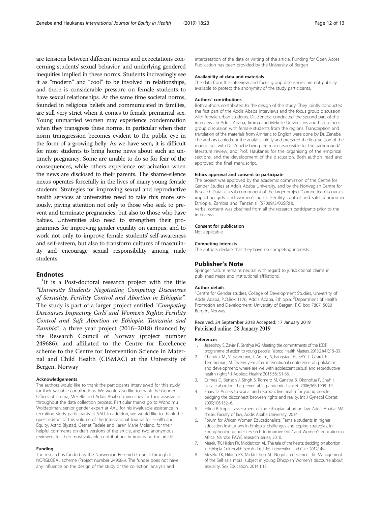<span id="page-11-0"></span>are tensions between different norms and expectations concerning students' sexual behavior, and underlying gendered inequities implied in these norms. Students increasingly see it as "modern" and "cool" to be involved in relationships, and there is considerable pressure on female students to have sexual relationships. At the same time societal norms, founded in religious beliefs and communicated in families, are still very strict when it comes to female premarital sex. Young unmarried women may experience condemnation when they transgress these norms, in particular when their norm transgression becomes evident to the public eye in the form of a growing belly. As we have seen, it is difficult for most students to bring home news about such an untimely pregnancy. Some are unable to do so for fear of the consequences, while others experience ostracization when the news are disclosed to their parents. The shame-silence nexus operates forcefully in the lives of many young female students. Strategies for improving sexual and reproductive health services at universities need to take this more seriously, paying attention not only to those who seek to prevent and terminate pregnancies, but also to those who have babies. Universities also need to strengthen their programmes for improving gender equality on campus, and to work not only to improve female students' self-awareness and self-esteem, but also to transform cultures of masculinity and encourage sexual responsibility among male students.

## **Endnotes**

<sup>1</sup>It is a Post-doctoral research project with the title "University Students Negotiating Competing Discourses of Sexuality, Fertility Control and Abortion in Ethiopia". The study is part of a larger project entitled "Competing Discourses Impacting Girls' and Women's Rights: Fertility Control and Safe Abortion in Ethiopia, Tanzania and Zambia", a three year project (2016–2018) financed by the Research Council of Norway (project number 249686), and affiliated to the Centre for Excellence scheme to the Centre for Intervention Science in Maternal and Child Health (CISMAC) at the University of Bergen, Norway

## Acknowledgements

The authors would like to thank the participants interviewed for this study for their valuable contributions. We would also like to thank the Gender Offices of Jimma, Mekelle and Addis Ababa Universities for their assistance throughout the data collection process. Particular thanks go to Wondimu Woldebirhan, senior gender expert at AAU for his invaluable assistance in recruiting study participants at AAU. In addition, we would like to thank the guest editors of this volume of the International Journal for Health and Equity, Astrid Blystad, Getnet Tadele and Karen Marie Moland, for their helpful comments on draft versions of the article, and two anonymous reviewers for their most valuable contributions in improving the article.

#### Funding

The research is funded by the Norwegian Research Council through its NORGLOBAL scheme (Project number 249686). The funder does not have any influence on the design of the study or the collection, analysis and

interpretation of the data or writing of the article. Funding for Open Acces Publication has been provided by the University of Bergen

#### Availability of data and materials

The data from the interview and focus group discussions are not publicly available to protect the anonymity of the study participants.

#### Authors' contributions

Both authors contributed to the design of the study. They jointly conducted the first part of the Addis Ababa interviews and the focus group discussion with female urban students. Dr. Zenebe conducted the second part of the interviews in Addis Ababa, Jimma and Mekelle Universities and had a focus group discussion with female students from the regions. Transcription and translation of the materials from Amharic to English were done by Dr. Zenebe. The authors carried out the analysis jointly and prepared the final version of the manuscript, with Dr. Zenebe being the main responsible for the background/ literature review, and Prof. Haukanes for the organising of the empirical sections, and the development of the discussion. Both authors read and approved the final manuscript.

#### Ethics approval and consent to participate

The project was approved by the academic commission of the Centre for Gender Studies at Addis Ababa University, and by the Norwegian Centre for Research Data as a sub-component of the larger project 'Competing discourses impacting girls' and women's rights: Fertility control and safe abortion in Ethiopia, Zambia and Tanzania' (57089/3/00SIRH).

Verbal consent was obtained from all the research participants prior to the interviews.

## Consent for publication

Not applicable

#### Competing interests

The authors declare that they have no competing interests.

#### Publisher's Note

Springer Nature remains neutral with regard to jurisdictional claims in published maps and institutional affiliations.

#### Author details

<sup>1</sup> Centre for Gender studies, College of Development Studies, University of Addis Ababa, P.O.Box 1176, Addis Ababa, Ethiopia. <sup>2</sup>Department of Health Promotion and Development, University of Bergen, P.O box 7807, 5020 Bergen, Norway.

## Received: 24 September 2018 Accepted: 17 January 2019 Published online: 28 January 2019

#### References

- 1. Jejeebhoy S, Zavier F, Santhya KG. Meeting the commitments of the ICDP programme of action to young people. Reprod Health Matters. 2013;21(41):18–30.
- 2. Chandra, M., V. Svanemyr, J. Amim, A, Faogstad, H., SAY, L, Girard, F., Temmeman, M. Tweny year after international conference on polulation and development: where are we with adolescent sexual and reproductive health rights? J Adolesc Health; 2015;56: S1-S6.
- 3. Grimes D, Benson J, Singh S, Romero M, Ganatra B, Okonofua F, Shah I. Unsafe abortion The preventable pandemic. Lancet. 2006;368:1908–19.
- 4. Shaw D. Access to sexual and reproductive health for young people: bridging the disconnect between rights and reality. Int J Gynecol Obstet. 2009;106:132–6.
- 5. Hilina B. Impact assessment of the Ethiopian abortion law. Addis Ababa: MA thesis, Faculty of law, Addis Ababa University; 2014.
- 6. Forum for African Women Educationalists. Female students in higher education institutions in Ethiopia: challenges and coping strategies. In: Strengthening gender research to improve Girls' and Women's education in Africa. Nairobi: FAWE research series; 2010.
- 7. Meselu TK, Hilden PK, Middelthon AL. The tale of the hearts: deciding on abortion in Ethiopia. Cult Health Sex: An Int J Res Intervention and Care. 2012;14:4.
- 8. Meselu TK, Hilden PK, Middelthon AL. Negotiated silence: the Management of the Self as a moral subject in young Ethiopian Women's discourse about sexuality. Sex Education. 2014;1:13.